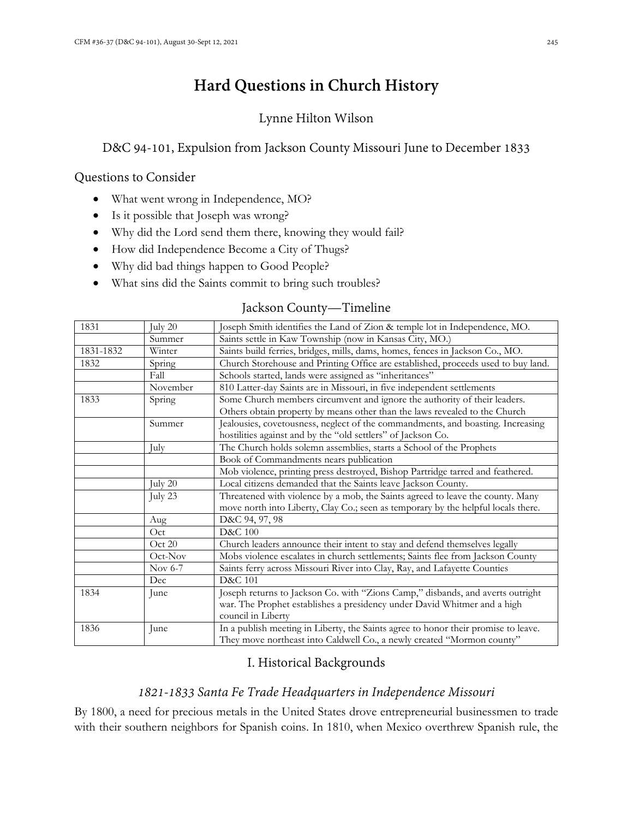# **Hard Questions in Church History**

# Lynne Hilton Wilson

# D&C 94-101, Expulsion from Jackson County Missouri June to December 1833

### Questions to Consider

- What went wrong in Independence, MO?
- Is it possible that Joseph was wrong?
- Why did the Lord send them there, knowing they would fail?
- How did Independence Become a City of Thugs?
- Why did bad things happen to Good People?
- What sins did the Saints commit to bring such troubles?

# Jackson County—Timeline

| 1831      | July 20  | Joseph Smith identifies the Land of Zion & temple lot in Independence, MO.                                                                              |
|-----------|----------|---------------------------------------------------------------------------------------------------------------------------------------------------------|
|           | Summer   | Saints settle in Kaw Township (now in Kansas City, MO.)                                                                                                 |
| 1831-1832 | Winter   | Saints build ferries, bridges, mills, dams, homes, fences in Jackson Co., MO.                                                                           |
| 1832      | Spring   | Church Storehouse and Printing Office are established, proceeds used to buy land.                                                                       |
|           | Fall     | Schools started, lands were assigned as "inheritances"                                                                                                  |
|           | November | 810 Latter-day Saints are in Missouri, in five independent settlements                                                                                  |
| 1833      | Spring   | Some Church members circumvent and ignore the authority of their leaders.<br>Others obtain property by means other than the laws revealed to the Church |
|           | Summer   | Jealousies, covetousness, neglect of the commandments, and boasting. Increasing<br>hostilities against and by the "old settlers" of Jackson Co.         |
|           | July     | The Church holds solemn assemblies, starts a School of the Prophets                                                                                     |
|           |          | Book of Commandments nears publication                                                                                                                  |
|           |          | Mob violence, printing press destroyed, Bishop Partridge tarred and feathered.                                                                          |
|           | July 20  | Local citizens demanded that the Saints leave Jackson County.                                                                                           |
|           | July 23  | Threatened with violence by a mob, the Saints agreed to leave the county. Many                                                                          |
|           |          | move north into Liberty, Clay Co.; seen as temporary by the helpful locals there.                                                                       |
|           | Aug      | D&C 94, 97, 98                                                                                                                                          |
|           | Oct      | <b>D&amp;C</b> 100                                                                                                                                      |
|           | Oct 20   | Church leaders announce their intent to stay and defend themselves legally                                                                              |
|           | Oct-Nov  | Mobs violence escalates in church settlements; Saints flee from Jackson County                                                                          |
|           | Nov 6-7  | Saints ferry across Missouri River into Clay, Ray, and Lafayette Counties                                                                               |
|           | Dec      | D&C 101                                                                                                                                                 |
| 1834      | June     | Joseph returns to Jackson Co. with "Zions Camp," disbands, and averts outright                                                                          |
|           |          | war. The Prophet establishes a presidency under David Whitmer and a high                                                                                |
|           |          | council in Liberty                                                                                                                                      |
| 1836      | June     | In a publish meeting in Liberty, the Saints agree to honor their promise to leave.                                                                      |
|           |          | They move northeast into Caldwell Co., a newly created "Mormon county"                                                                                  |

# I. Historical Backgrounds

# *1821-1833 Santa Fe Trade Headquarters in Independence Missouri*

By 1800, a need for precious metals in the United States drove entrepreneurial businessmen to trade with their southern neighbors for Spanish coins. In 1810, when Mexico overthrew Spanish rule, the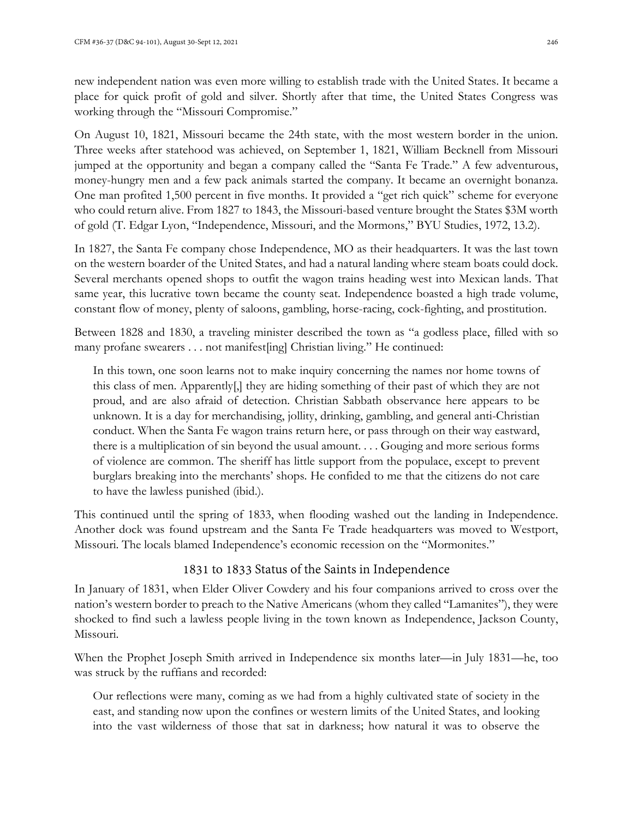new independent nation was even more willing to establish trade with the United States. It became a place for quick profit of gold and silver. Shortly after that time, the United States Congress was working through the "Missouri Compromise."

On August 10, 1821, Missouri became the 24th state, with the most western border in the union. Three weeks after statehood was achieved, on September 1, 1821, William Becknell from Missouri jumped at the opportunity and began a company called the "Santa Fe Trade." A few adventurous, money-hungry men and a few pack animals started the company. It became an overnight bonanza. One man profited 1,500 percent in five months. It provided a "get rich quick" scheme for everyone who could return alive. From 1827 to 1843, the Missouri-based venture brought the States \$3M worth of gold (T. Edgar Lyon, "Independence, Missouri, and the Mormons," BYU Studies, 1972, 13.2).

In 1827, the Santa Fe company chose Independence, MO as their headquarters. It was the last town on the western boarder of the United States, and had a natural landing where steam boats could dock. Several merchants opened shops to outfit the wagon trains heading west into Mexican lands. That same year, this lucrative town became the county seat. Independence boasted a high trade volume, constant flow of money, plenty of saloons, gambling, horse-racing, cock-fighting, and prostitution.

Between 1828 and 1830, a traveling minister described the town as "a godless place, filled with so many profane swearers . . . not manifest[ing] Christian living." He continued:

In this town, one soon learns not to make inquiry concerning the names nor home towns of this class of men. Apparently[,] they are hiding something of their past of which they are not proud, and are also afraid of detection. Christian Sabbath observance here appears to be unknown. It is a day for merchandising, jollity, drinking, gambling, and general anti-Christian conduct. When the Santa Fe wagon trains return here, or pass through on their way eastward, there is a multiplication of sin beyond the usual amount. . . . Gouging and more serious forms of violence are common. The sheriff has little support from the populace, except to prevent burglars breaking into the merchants' shops. He confided to me that the citizens do not care to have the lawless punished (ibid.).

This continued until the spring of 1833, when flooding washed out the landing in Independence. Another dock was found upstream and the Santa Fe Trade headquarters was moved to Westport, Missouri. The locals blamed Independence's economic recession on the "Mormonites."

### 1831 to 1833 Status of the Saints in Independence

In January of 1831, when Elder Oliver Cowdery and his four companions arrived to cross over the nation's western border to preach to the Native Americans (whom they called "Lamanites"), they were shocked to find such a lawless people living in the town known as Independence, Jackson County, Missouri.

When the Prophet Joseph Smith arrived in Independence six months later—in July 1831—he, too was struck by the ruffians and recorded:

Our reflections were many, coming as we had from a highly cultivated state of society in the east, and standing now upon the confines or western limits of the United States, and looking into the vast wilderness of those that sat in darkness; how natural it was to observe the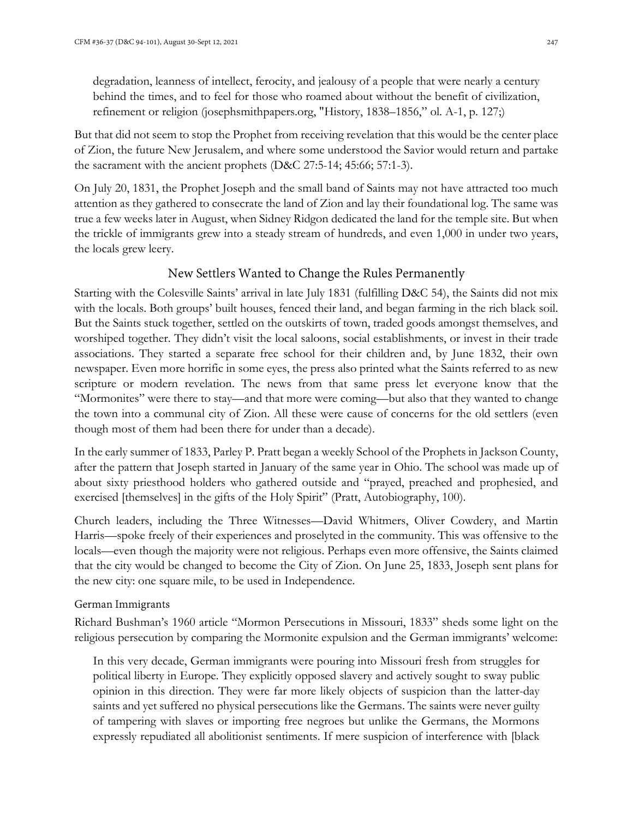degradation, leanness of intellect, ferocity, and jealousy of a people that were nearly a century behind the times, and to feel for those who roamed about without the benefit of civilization, refinement or religion (josephsmithpapers.org, "History, 1838–1856," ol. A-1, p. 127;)

But that did not seem to stop the Prophet from receiving revelation that this would be the center place of Zion, the future New Jerusalem, and where some understood the Savior would return and partake the sacrament with the ancient prophets (D&C 27:5-14; 45:66; 57:1-3).

On July 20, 1831, the Prophet Joseph and the small band of Saints may not have attracted too much attention as they gathered to consecrate the land of Zion and lay their foundational log. The same was true a few weeks later in August, when Sidney Ridgon dedicated the land for the temple site. But when the trickle of immigrants grew into a steady stream of hundreds, and even 1,000 in under two years, the locals grew leery.

# New Settlers Wanted to Change the Rules Permanently

Starting with the Colesville Saints' arrival in late July 1831 (fulfilling D&C 54), the Saints did not mix with the locals. Both groups' built houses, fenced their land, and began farming in the rich black soil. But the Saints stuck together, settled on the outskirts of town, traded goods amongst themselves, and worshiped together. They didn't visit the local saloons, social establishments, or invest in their trade associations. They started a separate free school for their children and, by June 1832, their own newspaper. Even more horrific in some eyes, the press also printed what the Saints referred to as new scripture or modern revelation. The news from that same press let everyone know that the "Mormonites" were there to stay—and that more were coming—but also that they wanted to change the town into a communal city of Zion. All these were cause of concerns for the old settlers (even though most of them had been there for under than a decade).

In the early summer of 1833, Parley P. Pratt began a weekly School of the Prophets in Jackson County, after the pattern that Joseph started in January of the same year in Ohio. The school was made up of about sixty priesthood holders who gathered outside and "prayed, preached and prophesied, and exercised [themselves] in the gifts of the Holy Spirit" (Pratt, Autobiography, 100).

Church leaders, including the Three Witnesses—David Whitmers, Oliver Cowdery, and Martin Harris—spoke freely of their experiences and proselyted in the community. This was offensive to the locals—even though the majority were not religious. Perhaps even more offensive, the Saints claimed that the city would be changed to become the City of Zion. On June 25, 1833, Joseph sent plans for the new city: one square mile, to be used in Independence.

### German Immigrants

Richard Bushman's 1960 article "Mormon Persecutions in Missouri, 1833" sheds some light on the religious persecution by comparing the Mormonite expulsion and the German immigrants' welcome:

In this very decade, German immigrants were pouring into Missouri fresh from struggles for political liberty in Europe. They explicitly opposed slavery and actively sought to sway public opinion in this direction. They were far more likely objects of suspicion than the latter-day saints and yet suffered no physical persecutions like the Germans. The saints were never guilty of tampering with slaves or importing free negroes but unlike the Germans, the Mormons expressly repudiated all abolitionist sentiments. If mere suspicion of interference with [black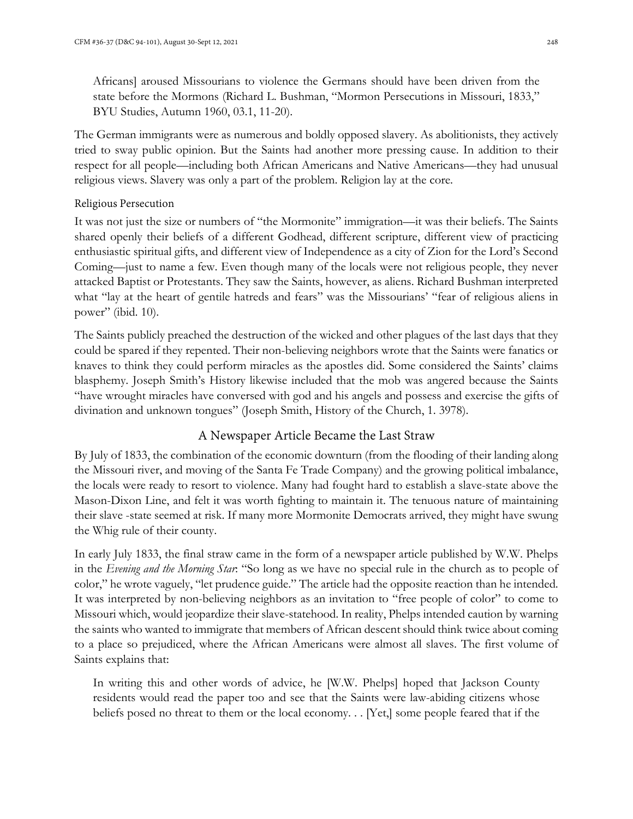Africans] aroused Missourians to violence the Germans should have been driven from the state before the Mormons (Richard L. Bushman, "Mormon Persecutions in Missouri, 1833," BYU Studies, Autumn 1960, 03.1, 11-20).

The German immigrants were as numerous and boldly opposed slavery. As abolitionists, they actively tried to sway public opinion. But the Saints had another more pressing cause. In addition to their respect for all people—including both African Americans and Native Americans—they had unusual religious views. Slavery was only a part of the problem. Religion lay at the core.

#### Religious Persecution

It was not just the size or numbers of "the Mormonite" immigration—it was their beliefs. The Saints shared openly their beliefs of a different Godhead, different scripture, different view of practicing enthusiastic spiritual gifts, and different view of Independence as a city of Zion for the Lord's Second Coming—just to name a few. Even though many of the locals were not religious people, they never attacked Baptist or Protestants. They saw the Saints, however, as aliens. Richard Bushman interpreted what "lay at the heart of gentile hatreds and fears" was the Missourians' "fear of religious aliens in power" (ibid. 10).

The Saints publicly preached the destruction of the wicked and other plagues of the last days that they could be spared if they repented. Their non-believing neighbors wrote that the Saints were fanatics or knaves to think they could perform miracles as the apostles did. Some considered the Saints' claims blasphemy. Joseph Smith's History likewise included that the mob was angered because the Saints "have wrought miracles have conversed with god and his angels and possess and exercise the gifts of divination and unknown tongues" (Joseph Smith, History of the Church, 1. 3978).

### A Newspaper Article Became the Last Straw

By July of 1833, the combination of the economic downturn (from the flooding of their landing along the Missouri river, and moving of the Santa Fe Trade Company) and the growing political imbalance, the locals were ready to resort to violence. Many had fought hard to establish a slave-state above the Mason-Dixon Line, and felt it was worth fighting to maintain it. The tenuous nature of maintaining their slave -state seemed at risk. If many more Mormonite Democrats arrived, they might have swung the Whig rule of their county.

In early July 1833, the final straw came in the form of a newspaper article published by W.W. Phelps in the *Evening and the Morning Star*: "So long as we have no special rule in the church as to people of color," he wrote vaguely, "let prudence guide." The article had the opposite reaction than he intended. It was interpreted by non-believing neighbors as an invitation to "free people of color" to come to Missouri which, would jeopardize their slave-statehood. In reality, Phelps intended caution by warning the saints who wanted to immigrate that members of African descent should think twice about coming to a place so prejudiced, where the African Americans were almost all slaves. The first volume of Saints explains that:

In writing this and other words of advice, he [W.W. Phelps] hoped that Jackson County residents would read the paper too and see that the Saints were law-abiding citizens whose beliefs posed no threat to them or the local economy. . . [Yet,] some people feared that if the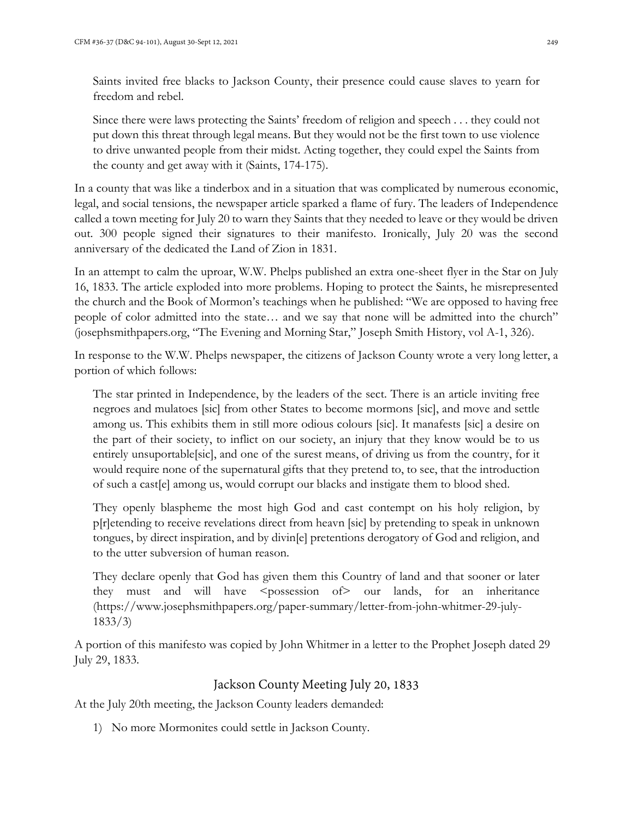Saints invited free blacks to Jackson County, their presence could cause slaves to yearn for freedom and rebel.

Since there were laws protecting the Saints' freedom of religion and speech . . . they could not put down this threat through legal means. But they would not be the first town to use violence to drive unwanted people from their midst. Acting together, they could expel the Saints from the county and get away with it (Saints, 174-175).

In a county that was like a tinderbox and in a situation that was complicated by numerous economic, legal, and social tensions, the newspaper article sparked a flame of fury. The leaders of Independence called a town meeting for July 20 to warn they Saints that they needed to leave or they would be driven out. 300 people signed their signatures to their manifesto. Ironically, July 20 was the second anniversary of the dedicated the Land of Zion in 1831.

In an attempt to calm the uproar, W.W. Phelps published an extra one-sheet flyer in the Star on July 16, 1833. The article exploded into more problems. Hoping to protect the Saints, he misrepresented the church and the Book of Mormon's teachings when he published: "We are opposed to having free people of color admitted into the state… and we say that none will be admitted into the church" (josephsmithpapers.org, "The Evening and Morning Star," Joseph Smith History, vol A-1, 326).

In response to the W.W. Phelps newspaper, the citizens of Jackson County wrote a very long letter, a portion of which follows:

The star printed in Independence, by the leaders of the sect. There is an article inviting free negroes and mulatoes [sic] from other States to become mormons [sic], and move and settle among us. This exhibits them in still more odious colours [sic]. It manafests [sic] a desire on the part of their society, to inflict on our society, an injury that they know would be to us entirely unsuportable[sic], and one of the surest means, of driving us from the country, for it would require none of the supernatural gifts that they pretend to, to see, that the introduction of such a cast[e] among us, would corrupt our blacks and instigate them to blood shed.

They openly blaspheme the most high God and cast contempt on his holy religion, by p[r]etending to receive revelations direct from heavn [sic] by pretending to speak in unknown tongues, by direct inspiration, and by divin[e] pretentions derogatory of God and religion, and to the utter subversion of human reason.

They declare openly that God has given them this Country of land and that sooner or later they must and will have <possession of> our lands, for an inheritance (https://www.josephsmithpapers.org/paper-summary/letter-from-john-whitmer-29-july-1833/3)

A portion of this manifesto was copied by John Whitmer in a letter to the Prophet Joseph dated 29 July 29, 1833.

# Jackson County Meeting July 20, 1833

At the July 20th meeting, the Jackson County leaders demanded:

1) No more Mormonites could settle in Jackson County.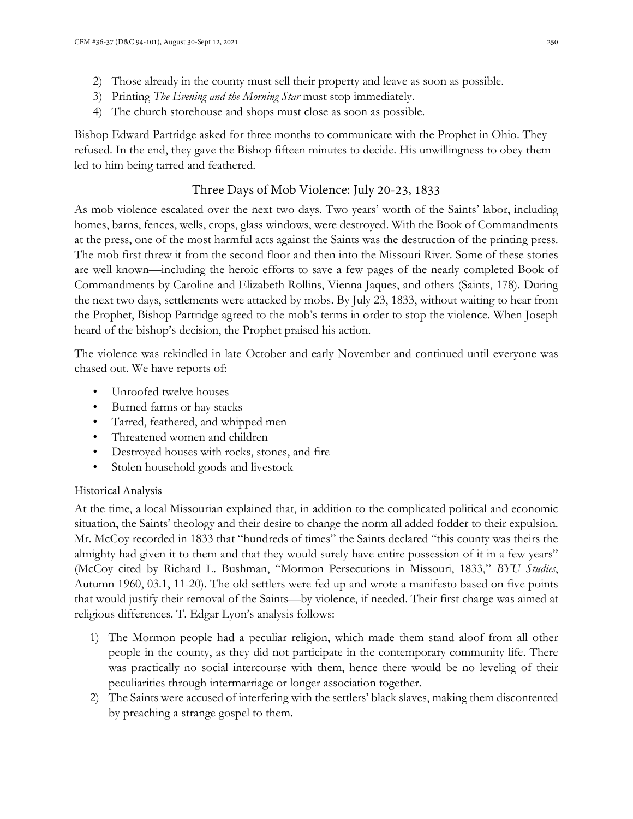- 2) Those already in the county must sell their property and leave as soon as possible.
- 3) Printing *The Evening and the Morning Star* must stop immediately.
- 4) The church storehouse and shops must close as soon as possible.

Bishop Edward Partridge asked for three months to communicate with the Prophet in Ohio. They refused. In the end, they gave the Bishop fifteen minutes to decide. His unwillingness to obey them led to him being tarred and feathered.

# Three Days of Mob Violence: July 20-23, 1833

As mob violence escalated over the next two days. Two years' worth of the Saints' labor, including homes, barns, fences, wells, crops, glass windows, were destroyed. With the Book of Commandments at the press, one of the most harmful acts against the Saints was the destruction of the printing press. The mob first threw it from the second floor and then into the Missouri River. Some of these stories are well known—including the heroic efforts to save a few pages of the nearly completed Book of Commandments by Caroline and Elizabeth Rollins, Vienna Jaques, and others (Saints, 178). During the next two days, settlements were attacked by mobs. By July 23, 1833, without waiting to hear from the Prophet, Bishop Partridge agreed to the mob's terms in order to stop the violence. When Joseph heard of the bishop's decision, the Prophet praised his action.

The violence was rekindled in late October and early November and continued until everyone was chased out. We have reports of:

- Unroofed twelve houses
- Burned farms or hay stacks
- Tarred, feathered, and whipped men
- Threatened women and children
- Destroyed houses with rocks, stones, and fire
- Stolen household goods and livestock

### Historical Analysis

At the time, a local Missourian explained that, in addition to the complicated political and economic situation, the Saints' theology and their desire to change the norm all added fodder to their expulsion. Mr. McCoy recorded in 1833 that "hundreds of times" the Saints declared "this county was theirs the almighty had given it to them and that they would surely have entire possession of it in a few years" (McCoy cited by Richard L. Bushman, "Mormon Persecutions in Missouri, 1833," *BYU Studies*, Autumn 1960, 03.1, 11-20). The old settlers were fed up and wrote a manifesto based on five points that would justify their removal of the Saints—by violence, if needed. Their first charge was aimed at religious differences. T. Edgar Lyon's analysis follows:

- 1) The Mormon people had a peculiar religion, which made them stand aloof from all other people in the county, as they did not participate in the contemporary community life. There was practically no social intercourse with them, hence there would be no leveling of their peculiarities through intermarriage or longer association together.
- 2) The Saints were accused of interfering with the settlers' black slaves, making them discontented by preaching a strange gospel to them.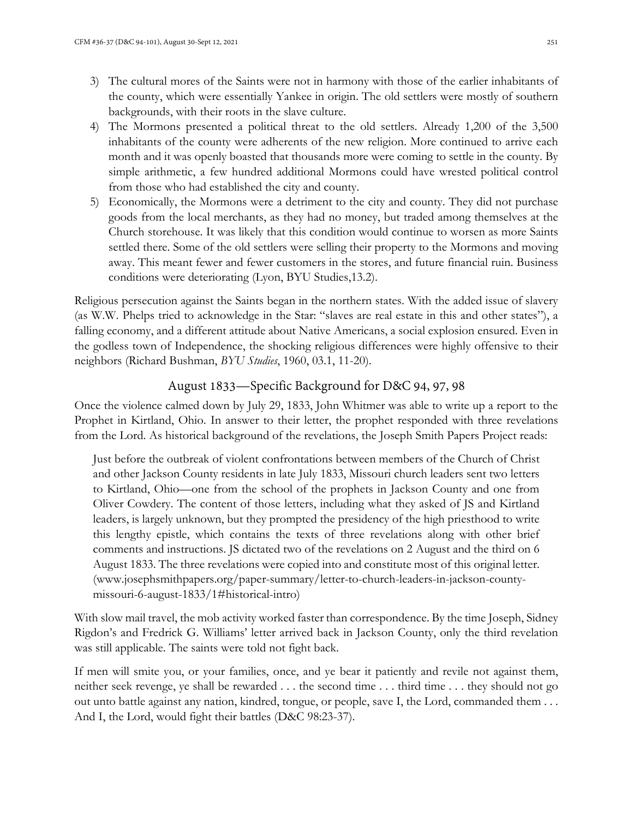- 3) The cultural mores of the Saints were not in harmony with those of the earlier inhabitants of the county, which were essentially Yankee in origin. The old settlers were mostly of southern backgrounds, with their roots in the slave culture.
- 4) The Mormons presented a political threat to the old settlers. Already 1,200 of the 3,500 inhabitants of the county were adherents of the new religion. More continued to arrive each month and it was openly boasted that thousands more were coming to settle in the county. By simple arithmetic, a few hundred additional Mormons could have wrested political control from those who had established the city and county.
- 5) Economically, the Mormons were a detriment to the city and county. They did not purchase goods from the local merchants, as they had no money, but traded among themselves at the Church storehouse. It was likely that this condition would continue to worsen as more Saints settled there. Some of the old settlers were selling their property to the Mormons and moving away. This meant fewer and fewer customers in the stores, and future financial ruin. Business conditions were deteriorating (Lyon, BYU Studies,13.2).

Religious persecution against the Saints began in the northern states. With the added issue of slavery (as W.W. Phelps tried to acknowledge in the Star: "slaves are real estate in this and other states"), a falling economy, and a different attitude about Native Americans, a social explosion ensured. Even in the godless town of Independence, the shocking religious differences were highly offensive to their neighbors (Richard Bushman, *BYU Studies*, 1960, 03.1, 11-20).

# August 1833—Specific Background for D&C 94, 97, 98

Once the violence calmed down by July 29, 1833, John Whitmer was able to write up a report to the Prophet in Kirtland, Ohio. In answer to their letter, the prophet responded with three revelations from the Lord. As historical background of the revelations, the Joseph Smith Papers Project reads:

Just before the outbreak of violent confrontations between members of the Church of Christ and other Jackson County residents in late July 1833, Missouri church leaders sent two letters to Kirtland, Ohio—one from the school of the prophets in Jackson County and one from Oliver Cowdery. The content of those letters, including what they asked of JS and Kirtland leaders, is largely unknown, but they prompted the presidency of the high priesthood to write this lengthy epistle, which contains the texts of three revelations along with other brief comments and instructions. JS dictated two of the revelations on 2 August and the third on 6 August 1833. The three revelations were copied into and constitute most of this original letter. (www.josephsmithpapers.org/paper-summary/letter-to-church-leaders-in-jackson-countymissouri-6-august-1833/1#historical-intro)

With slow mail travel, the mob activity worked faster than correspondence. By the time Joseph, Sidney Rigdon's and Fredrick G. Williams' letter arrived back in Jackson County, only the third revelation was still applicable. The saints were told not fight back.

If men will smite you, or your families, once, and ye bear it patiently and revile not against them, neither seek revenge, ye shall be rewarded . . . the second time . . . third time . . . they should not go out unto battle against any nation, kindred, tongue, or people, save I, the Lord, commanded them . . . And I, the Lord, would fight their battles (D&C 98:23-37).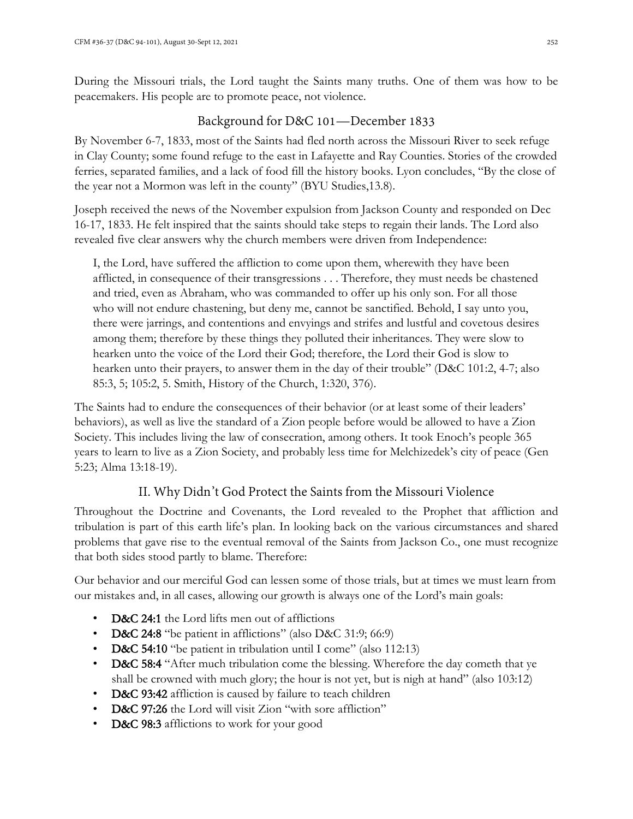During the Missouri trials, the Lord taught the Saints many truths. One of them was how to be peacemakers. His people are to promote peace, not violence.

# Background for D&C 101—December 1833

By November 6-7, 1833, most of the Saints had fled north across the Missouri River to seek refuge in Clay County; some found refuge to the east in Lafayette and Ray Counties. Stories of the crowded ferries, separated families, and a lack of food fill the history books. Lyon concludes, "By the close of the year not a Mormon was left in the county" (BYU Studies,13.8).

Joseph received the news of the November expulsion from Jackson County and responded on Dec 16-17, 1833. He felt inspired that the saints should take steps to regain their lands. The Lord also revealed five clear answers why the church members were driven from Independence:

I, the Lord, have suffered the affliction to come upon them, wherewith they have been afflicted, in consequence of their transgressions . . . Therefore, they must needs be chastened and tried, even as Abraham, who was commanded to offer up his only son. For all those who will not endure chastening, but deny me, cannot be sanctified. Behold, I say unto you, there were jarrings, and contentions and envyings and strifes and lustful and covetous desires among them; therefore by these things they polluted their inheritances. They were slow to hearken unto the voice of the Lord their God; therefore, the Lord their God is slow to hearken unto their prayers, to answer them in the day of their trouble" (D&C 101:2, 4-7; also 85:3, 5; 105:2, 5. Smith, History of the Church, 1:320, 376).

The Saints had to endure the consequences of their behavior (or at least some of their leaders' behaviors), as well as live the standard of a Zion people before would be allowed to have a Zion Society. This includes living the law of consecration, among others. It took Enoch's people 365 years to learn to live as a Zion Society, and probably less time for Melchizedek's city of peace (Gen 5:23; Alma 13:18-19).

# II. Why Didn't God Protect the Saints from the Missouri Violence

Throughout the Doctrine and Covenants, the Lord revealed to the Prophet that affliction and tribulation is part of this earth life's plan. In looking back on the various circumstances and shared problems that gave rise to the eventual removal of the Saints from Jackson Co., one must recognize that both sides stood partly to blame. Therefore:

Our behavior and our merciful God can lessen some of those trials, but at times we must learn from our mistakes and, in all cases, allowing our growth is always one of the Lord's main goals:

- D&C 24:1 the Lord lifts men out of afflictions
- D&C 24:8 "be patient in afflictions" (also D&C 31:9; 66:9)
- D&C 54:10 "be patient in tribulation until I come" (also 112:13)
- D&C 58:4 "After much tribulation come the blessing. Wherefore the day cometh that ye shall be crowned with much glory; the hour is not yet, but is nigh at hand" (also 103:12)
- D&C 93:42 affliction is caused by failure to teach children
- **D&C 97:26** the Lord will visit Zion "with sore affliction"
- D&C 98:3 afflictions to work for your good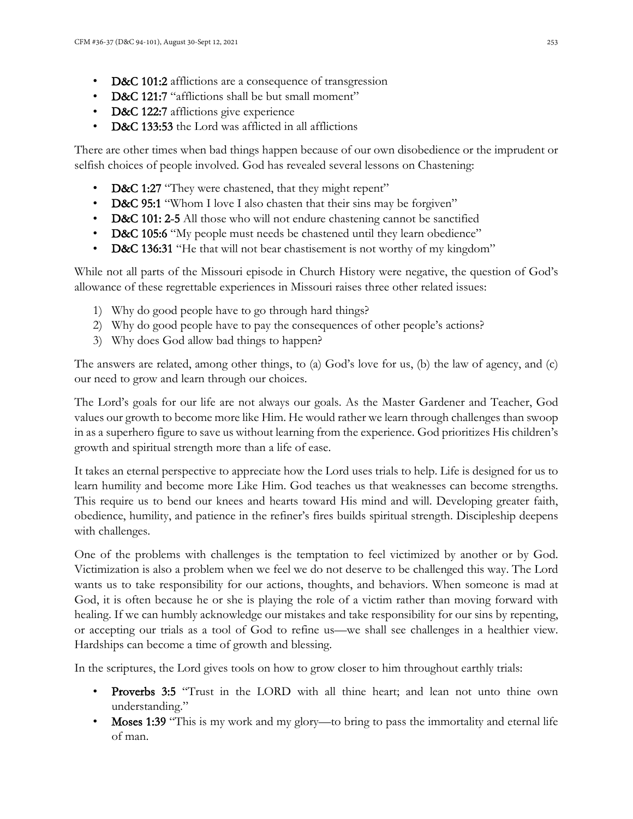- D&C 101:2 afflictions are a consequence of transgression
- D&C 121:7 "afflictions shall be but small moment"
- D&C 122:7 afflictions give experience
- D&C 133:53 the Lord was afflicted in all afflictions

There are other times when bad things happen because of our own disobedience or the imprudent or selfish choices of people involved. God has revealed several lessons on Chastening:

- D&C 1:27 "They were chastened, that they might repent"
- D&C 95:1 "Whom I love I also chasten that their sins may be forgiven"
- D&C 101: 2-5 All those who will not endure chastening cannot be sanctified
- D&C 105:6 "My people must needs be chastened until they learn obedience"
- D&C 136:31 "He that will not bear chastisement is not worthy of my kingdom"

While not all parts of the Missouri episode in Church History were negative, the question of God's allowance of these regrettable experiences in Missouri raises three other related issues:

- 1) Why do good people have to go through hard things?
- 2) Why do good people have to pay the consequences of other people's actions?
- 3) Why does God allow bad things to happen?

The answers are related, among other things, to (a) God's love for us, (b) the law of agency, and (c) our need to grow and learn through our choices.

The Lord's goals for our life are not always our goals. As the Master Gardener and Teacher, God values our growth to become more like Him. He would rather we learn through challenges than swoop in as a superhero figure to save us without learning from the experience. God prioritizes His children's growth and spiritual strength more than a life of ease.

It takes an eternal perspective to appreciate how the Lord uses trials to help. Life is designed for us to learn humility and become more Like Him. God teaches us that weaknesses can become strengths. This require us to bend our knees and hearts toward His mind and will. Developing greater faith, obedience, humility, and patience in the refiner's fires builds spiritual strength. Discipleship deepens with challenges.

One of the problems with challenges is the temptation to feel victimized by another or by God. Victimization is also a problem when we feel we do not deserve to be challenged this way. The Lord wants us to take responsibility for our actions, thoughts, and behaviors. When someone is mad at God, it is often because he or she is playing the role of a victim rather than moving forward with healing. If we can humbly acknowledge our mistakes and take responsibility for our sins by repenting, or accepting our trials as a tool of God to refine us—we shall see challenges in a healthier view. Hardships can become a time of growth and blessing.

In the scriptures, the Lord gives tools on how to grow closer to him throughout earthly trials:

- Proverbs 3:5 "Trust in the LORD with all thine heart; and lean not unto thine own understanding."
- Moses 1:39 "This is my work and my glory—to bring to pass the immortality and eternal life of man.